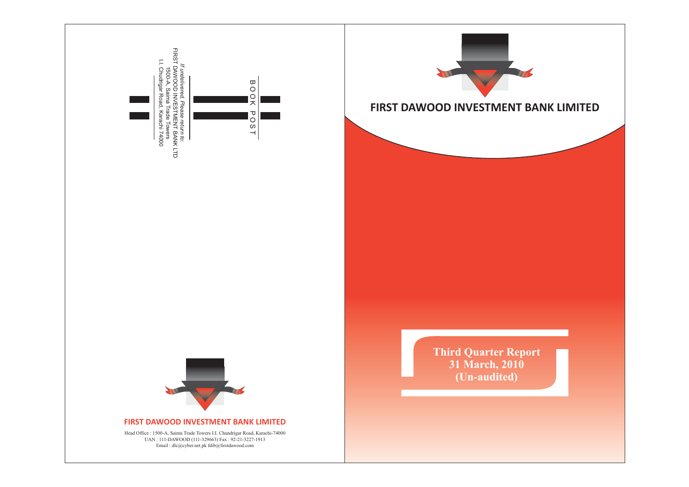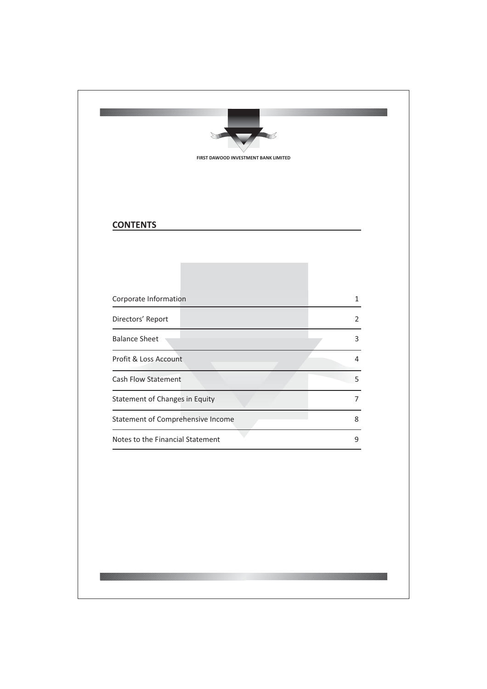| <b>CONTENTS</b>                       |                |
|---------------------------------------|----------------|
|                                       |                |
| Corporate Information                 | $\mathbf{1}$   |
| Directors' Report                     | 2              |
| <b>Balance Sheet</b>                  | 3              |
| Profit & Loss Account                 | 4              |
| Cash Flow Statement                   | 5              |
| <b>Statement of Changes in Equity</b> | $\overline{7}$ |
| Statement of Comprehensive Income     | 8              |
| Notes to the Financial Statement      | 9              |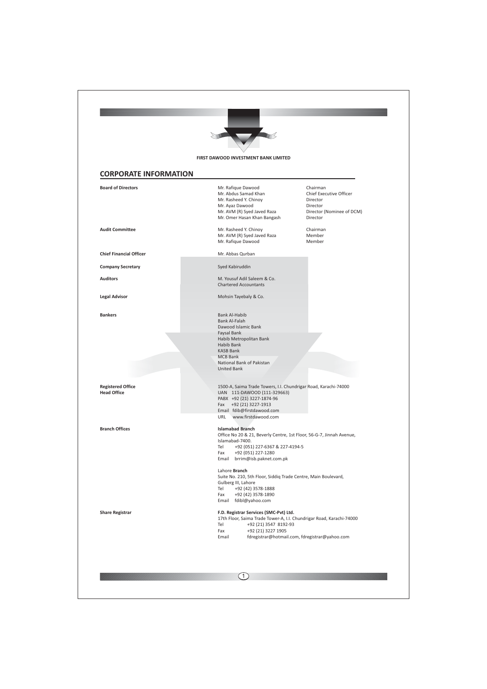|                                                | FIRST DAWOOD INVESTMENT BANK LIMITED                                                                                                                                                                                                                                                                                                                                                              |
|------------------------------------------------|---------------------------------------------------------------------------------------------------------------------------------------------------------------------------------------------------------------------------------------------------------------------------------------------------------------------------------------------------------------------------------------------------|
| <b>CORPORATE INFORMATION</b>                   |                                                                                                                                                                                                                                                                                                                                                                                                   |
| <b>Board of Directors</b>                      | Mr. Rafique Dawood<br>Chairman<br>Chief Executive Officer<br>Mr. Abdus Samad Khan<br>Mr. Rasheed Y. Chinoy<br>Director<br>Mr. Ayaz Dawood<br>Director<br>Mr. AVM (R) Syed Javed Raza<br>Director (Nominee of DCM)<br>Mr. Omer Hasan Khan Bangash<br>Director                                                                                                                                      |
| <b>Audit Committee</b>                         | Chairman<br>Mr. Rasheed Y. Chinoy<br>Member<br>Mr. AVM (R) Syed Javed Raza<br>Mr. Rafique Dawood<br>Member                                                                                                                                                                                                                                                                                        |
| <b>Chief Financial Officer</b>                 | Mr. Abbas Qurban                                                                                                                                                                                                                                                                                                                                                                                  |
| <b>Company Secretary</b>                       | Syed Kabiruddin                                                                                                                                                                                                                                                                                                                                                                                   |
| <b>Auditors</b>                                | M. Yousuf Adil Saleem & Co.<br><b>Chartered Accountants</b>                                                                                                                                                                                                                                                                                                                                       |
| <b>Legal Advisor</b>                           | Mohsin Tayebaly & Co.                                                                                                                                                                                                                                                                                                                                                                             |
| <b>Bankers</b>                                 | Bank Al-Habib<br>Bank Al-Falah<br>Dawood Islamic Bank<br>Faysal Bank<br>Habib Metropolitan Bank<br>Habib Bank<br><b>KASB Bank</b>                                                                                                                                                                                                                                                                 |
|                                                | <b>MCB Bank</b><br>National Bank of Pakistan<br><b>United Bank</b>                                                                                                                                                                                                                                                                                                                                |
| <b>Registered Office</b><br><b>Head Office</b> | 1500-A, Saima Trade Towers, I.I. Chundrigar Road, Karachi-74000<br>UAN 111-DAWOOD (111-329663)<br>PABX +92 (21) 3227-1874-96<br>Fax +92 (21) 3227-1913<br>Email fdib@firstdawood.com<br>URL<br>www.firstdawood.com                                                                                                                                                                                |
| <b>Branch Offices</b>                          | <b>Islamabad Branch</b><br>Office No 20 & 21, Beverly Centre, 1st Floor, 56-G-7, Jinnah Avenue,<br>Islamabad-7400.<br>Tel<br>+92 (051) 227-6367 & 227-4194-5<br>+92 (051) 227-1280<br>Fax<br>brrim@isb.paknet.com.pk<br>Email<br>Lahore Branch<br>Suite No. 210, 5th Floor, Siddiq Trade Centre, Main Boulevard,<br>Gulberg III, Lahore<br>Tel<br>+92 (42) 3578-1888<br>Fax<br>+92 (42) 3578-1890 |
| <b>Share Registrar</b>                         | Email fdibl@yahoo.com<br>F.D. Registrar Services (SMC-Pvt) Ltd.<br>17th Floor, Saima Trade Tower-A, I.I. Chundrigar Road, Karachi-74000<br>Tel<br>+92 (21) 3547 8192-93<br>Fax<br>+92 (21) 3227 1905<br>fdregistrar@hotmail.com, fdregistrar@yahoo.com<br>Email                                                                                                                                   |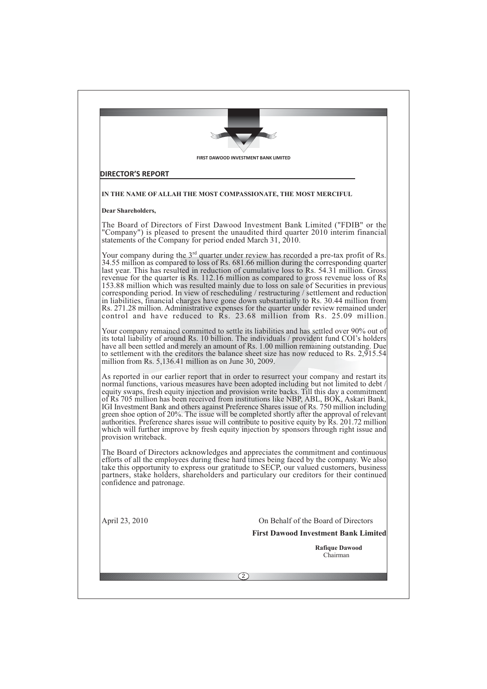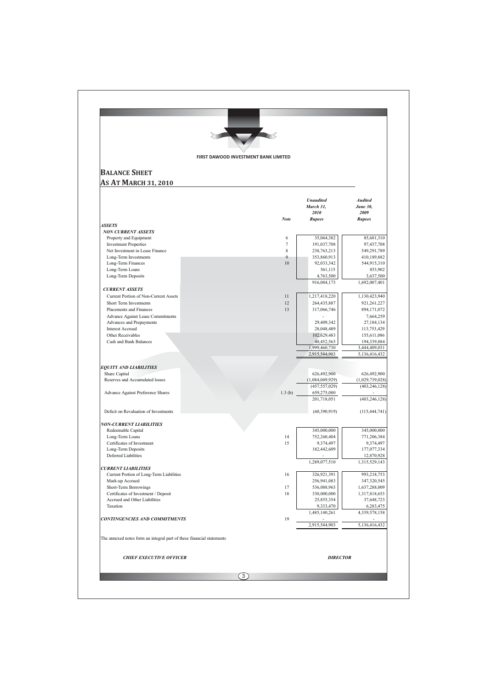| FIRST DAWOOD INVESTMENT BANK LIMITED                                  |          |                                    |                                    |
|-----------------------------------------------------------------------|----------|------------------------------------|------------------------------------|
| <b>BALANCE SHEET</b>                                                  |          |                                    |                                    |
| <b>AS AT MARCH 31, 2010</b>                                           |          |                                    |                                    |
|                                                                       |          |                                    |                                    |
|                                                                       |          | <b>Unaudited</b>                   | <b>Audited</b>                     |
|                                                                       |          | March 31,                          | <b>June 30.</b>                    |
|                                                                       | Note     | 2010<br><b>Rupees</b>              | 2009<br><b>Rupees</b>              |
| <b>ASSETS</b>                                                         |          |                                    |                                    |
| <b>NON CURRENT ASSETS</b>                                             |          |                                    |                                    |
| Property and Equipment<br><b>Investment Properties</b>                | 6<br>7   | 35,064,382<br>191,037,708          | 85,681,310<br>97,437,708           |
| Net Investment in Lease Finance                                       | 8        | 238,763,213                        | 549,291,789                        |
| Long-Term Investments                                                 | 9        | 353,860,913                        | 410,189,882                        |
| Long-Term Finances                                                    | 10       | 92,033,342                         | 544,915,310                        |
| Long-Term Loans                                                       |          | 561,115                            | 853,902                            |
| Long-Term Deposits                                                    |          | 4,763,500<br>916,084,173           | 3,637,500<br>1,692,007,401         |
| <b>CURRENT ASSETS</b>                                                 |          |                                    |                                    |
| Current Portion of Non-Current Assets                                 | 11       | 1,217,418,220                      | 1,130,423,940                      |
| Short Term Investments                                                | 12       | 264,435,887                        | 921,261,227                        |
| Placements and Finances                                               | 13       | 317,066,746                        | 894, 171, 072                      |
| Advance Against Lease Commitments<br>Advances and Prepayments         |          | 29,409,342                         | 7,664,259<br>27,184,134            |
| <b>Interest Accrued</b>                                               |          | 28,048,489                         | 113,753,429                        |
| Other Receivables                                                     |          | 102,629,483                        | 155,611,086                        |
| Cash and Bank Balances                                                |          | 40,452,563                         | 194,339,884                        |
|                                                                       |          | 1,999,460,730<br>2,915,544,903     | 3,444,409,031<br>5,136,416,432     |
|                                                                       |          |                                    |                                    |
| <b>EQUITY AND LIABILITIES</b>                                         |          |                                    |                                    |
| Share Capital<br>Reserves and Accumulated losses                      |          | 626,492,900                        | 626,492,900                        |
|                                                                       |          | (1,084,049,929)<br>(457, 557, 029) | (1,029,739,028)<br>(403, 246, 128) |
| Advance Against Preference Shares                                     | 1.3(b)   | 659,275,080                        |                                    |
|                                                                       |          | 201,718,051                        | (403, 246, 128)                    |
| Deficit on Revaluation of Investments                                 |          | (60, 390, 919)                     |                                    |
|                                                                       |          |                                    | (115, 444, 741)                    |
| <b>NON-CURRENT LIABILITIES</b>                                        |          |                                    |                                    |
| Redeemable Capital                                                    |          | 345,000,000                        | 345,000,000                        |
| Long-Term Loans                                                       | 14<br>15 | 752,260,404                        | 771,206,384                        |
| Certificates of Investment<br>Long-Term Deposits                      |          | 9,374,497<br>182,442,609           | 9,374,497<br>177,077,334           |
| Deferred Liabilities                                                  |          |                                    | 12,870,928                         |
|                                                                       |          | 1,289,077,510                      | 1,315,529,143                      |
| <b>CURRENT LIABILITIES</b>                                            | 16       | 326,921,391                        | 993,218,753                        |
| Current Portion of Long-Term Liabilities<br>Mark-up Accrued           |          | 256,941,083                        | 347,320,545                        |
| Short-Term Borrowings                                                 | 17       | 536,088,963                        | 1,637,288,009                      |
| Certificates of Investment / Deposit                                  | 18       | 330,000,000                        | 1,317,818,653                      |
| Accrued and Other Liabilities                                         |          | 25,855,354                         | 37,648,723                         |
| Taxation                                                              |          | 9,333,470<br>1,485,140,261         | 6,283,475<br>4,339,578,158         |
| <b>CONTINGENCIES AND COMMITMENTS</b>                                  | 19       |                                    |                                    |
|                                                                       |          | 2,915,544,903                      | 5,136,416,432                      |
| The annexed notes form an integral part of these financial statements |          |                                    |                                    |
|                                                                       |          |                                    |                                    |
| <b>CHIEF EXECUTIVE OFFICER</b>                                        |          | <b>DIRECTOR</b>                    |                                    |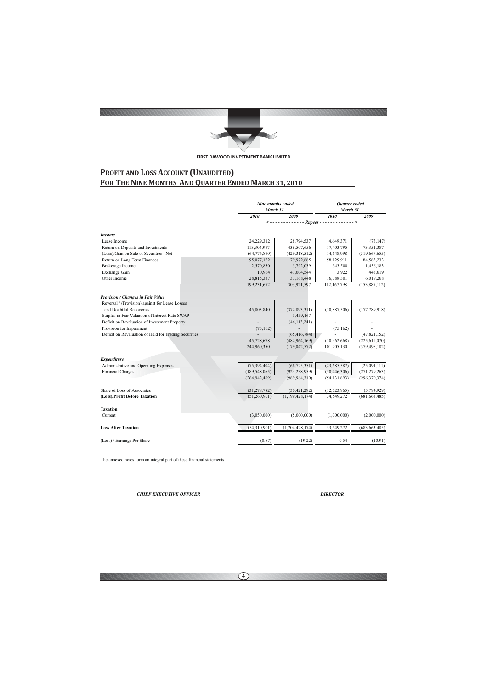| PROFIT AND LOSS ACCOUNT (UNAUDITED)                                        |                                       |                                    |                                   |                                    |  |
|----------------------------------------------------------------------------|---------------------------------------|------------------------------------|-----------------------------------|------------------------------------|--|
| FOR THE NINE MONTHS AND QUARTER ENDED MARCH 31, 2010                       |                                       |                                    |                                   |                                    |  |
|                                                                            | Nine months ended<br>March 31<br>2010 | 2009                               | Quarter ended<br>March 31<br>2010 | 2009                               |  |
|                                                                            |                                       |                                    |                                   |                                    |  |
| <b>Income</b><br>Lease Income                                              | 24,229,312                            | 28,794,537                         | 4,649,371                         | (73, 147)                          |  |
| Return on Deposits and Investments                                         | 113,304,987                           | 438,507,656                        | 17,403,795                        | 73,351,387                         |  |
| (Loss)/Gain on Sale of Securities - Net                                    | (64, 776, 880)                        | (429, 318, 512)                    | 14,648,998                        | (319, 667, 655)                    |  |
| Return on Long Term Finances<br>Brokerage Income                           | 95,077,122<br>2,570,830               | 179,972,885<br>5,792,039           | 58,129,911<br>543,500             | 84,583,233<br>1,456,183            |  |
| Exchange Gain                                                              | 10,964                                | 47,004,544                         | 3,922                             | 443,619                            |  |
| Other Income                                                               | 28,815,337                            | 33,168,448                         | 16,788,301                        | 6,019,268                          |  |
|                                                                            | 199,231,672                           | 303,921,597                        | 112,167,798                       | (153,887,112)                      |  |
| Provision / Changes in Fair Value                                          |                                       |                                    |                                   |                                    |  |
| Reversal / (Provision) against for Lease Losses                            |                                       |                                    |                                   |                                    |  |
| and Doubtful Recoveries<br>Surplus in Fair Valuation of Interest Rate SWAP | 45,803,840                            | (372, 893, 311)<br>1,459,167       | (10, 887, 506)                    | (177, 789, 918)                    |  |
| Deficit on Revaluation of Investment Property                              |                                       | (46, 113, 241)                     |                                   |                                    |  |
| Provision for Impairment                                                   | (75, 162)                             |                                    | (75, 162)                         |                                    |  |
| Deficit on Revaluation of Held for Trading Securities                      |                                       | (65, 416, 784)                     |                                   | (47, 821, 152)                     |  |
|                                                                            | 45,728,678<br>244,960,350             | (482, 964, 169)<br>(179, 042, 572) | (10,962,668)<br>101,205,130       | (225, 611, 070)<br>(379, 498, 182) |  |
|                                                                            |                                       |                                    |                                   |                                    |  |
| <b>Expenditure</b><br>Administrative and Operating Expenses                | (75, 394, 404)                        | (66, 725, 351)                     | (23,685,587)                      | (25,091,111)                       |  |
| <b>Financial Charges</b>                                                   | (189, 548, 065)                       | (923, 238, 959)                    | (30, 446, 306)                    | (271, 279, 263)                    |  |
|                                                                            | (264, 942, 469)                       | (989, 964, 310)                    | (54, 131, 893)                    | (296, 370, 374)                    |  |
| Share of Loss of Associates                                                | (31, 278, 782)                        | (30, 421, 292)                     | (12, 523, 965)                    | (5,794,929)                        |  |
| (Loss)/Profit Before Taxation                                              | (51,260,901)                          | (1, 199, 428, 174)                 | 34,549,272                        | (681, 663, 485)                    |  |
|                                                                            |                                       |                                    |                                   |                                    |  |
| <b>Taxation</b><br>Current                                                 | (3,050,000)                           | (5,000,000)                        | (1,000,000)                       | (2,000,000)                        |  |
|                                                                            |                                       |                                    |                                   |                                    |  |
| <b>Loss After Taxation</b>                                                 | (54,310,901)                          | (1, 204, 428, 174)                 | 33,549,272                        | (683, 663, 485)                    |  |
| (Loss) / Earnings Per Share                                                | (0.87)                                | (19.22)                            | 0.54                              | (10.91)                            |  |
|                                                                            |                                       |                                    |                                   |                                    |  |
| The annexed notes form an integral part of these financial statements      |                                       |                                    |                                   |                                    |  |
| <b>CHIEF EXECUTIVE OFFICER</b>                                             |                                       |                                    | <b>DIRECTOR</b>                   |                                    |  |
|                                                                            |                                       |                                    |                                   |                                    |  |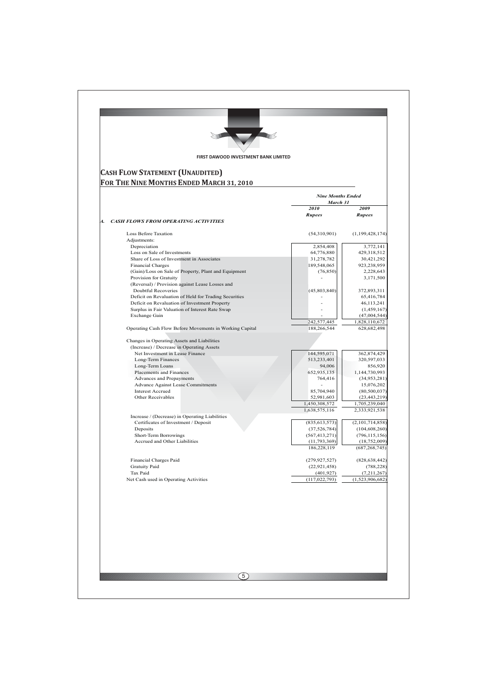| <b>Nine Months Ended</b><br>March 31<br>2010<br><b>Rupees</b><br>(54,310,901) | 2009<br><b>Rupees</b>                                                                                                                                        |
|-------------------------------------------------------------------------------|--------------------------------------------------------------------------------------------------------------------------------------------------------------|
|                                                                               |                                                                                                                                                              |
|                                                                               |                                                                                                                                                              |
|                                                                               |                                                                                                                                                              |
|                                                                               |                                                                                                                                                              |
|                                                                               | (1,199,428,174)                                                                                                                                              |
| 2,854,408                                                                     | 3,772,141                                                                                                                                                    |
| 64,776,880                                                                    | 429,318,512<br>30,421,292                                                                                                                                    |
| 189,548,065                                                                   | 923,238,959                                                                                                                                                  |
| (76, 850)                                                                     | 2,228,643                                                                                                                                                    |
|                                                                               | 3,171,500                                                                                                                                                    |
| (45, 803, 840)                                                                | 372,893,311                                                                                                                                                  |
|                                                                               | 65,416,784                                                                                                                                                   |
|                                                                               | 46,113,241<br>(1,459,167)                                                                                                                                    |
|                                                                               | (47,004,544)                                                                                                                                                 |
| 242,577,445                                                                   | 1,828,110,672                                                                                                                                                |
|                                                                               | 628, 682, 498                                                                                                                                                |
|                                                                               |                                                                                                                                                              |
|                                                                               |                                                                                                                                                              |
|                                                                               | 362,874,429<br>320,597,033                                                                                                                                   |
| 94,006                                                                        | 856,920                                                                                                                                                      |
| 652,935,135                                                                   | 1,144,730,993                                                                                                                                                |
|                                                                               | (34,953,281)<br>15,076,202                                                                                                                                   |
| 85,704,940                                                                    | (80, 500, 037)                                                                                                                                               |
| 52,981,603                                                                    | (23, 443, 219)                                                                                                                                               |
|                                                                               | 1,705,239,040<br>2,333,921,538                                                                                                                               |
|                                                                               |                                                                                                                                                              |
| (835, 613, 573)                                                               | (2,101,714,858)                                                                                                                                              |
|                                                                               | (104, 608, 260)<br>(796, 115, 156)                                                                                                                           |
| (11, 793, 369)                                                                | (18, 752, 009)                                                                                                                                               |
| 186,228,119                                                                   | (687, 268, 745)                                                                                                                                              |
|                                                                               | (828, 638, 442)                                                                                                                                              |
| (22, 921, 458)                                                                | (788, 228)                                                                                                                                                   |
| (401, 927)                                                                    | (7,211,267)                                                                                                                                                  |
| (117, 022, 793)                                                               | (1,523,906,682)                                                                                                                                              |
|                                                                               | 31,278,782<br>188,266,544<br>144,595,071<br>513,233,401<br>764,416<br>1,450,308,572<br>1,638,575,116<br>(37, 526, 784)<br>(567, 413, 271)<br>(279, 927, 527) |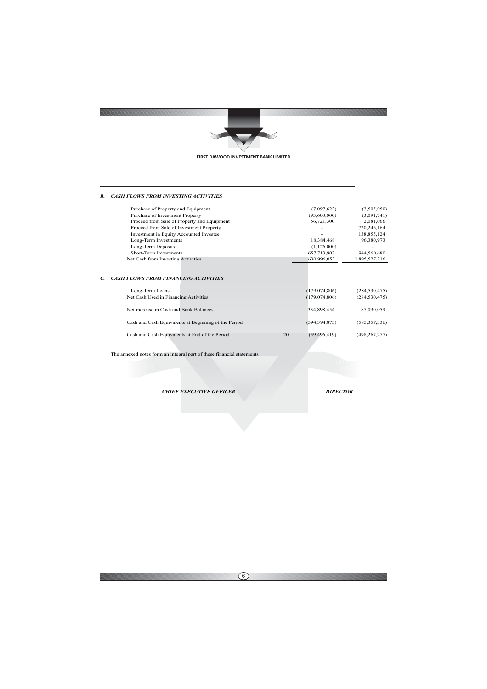| (3,505,050)                |
|----------------------------|
|                            |
| (3,091,741)                |
|                            |
| 2,081,066                  |
| 720,246,164<br>138,855,124 |
| 96,380,973                 |
|                            |
| 944,560,680                |
| 1,895,527,216              |
|                            |
|                            |
| (284, 530, 475)            |
| (284, 530, 475)            |
| 87,090,059                 |
| (585, 357, 336)            |
| (498, 267, 277)            |
|                            |
|                            |
|                            |
|                            |
|                            |
|                            |
|                            |
|                            |
|                            |
|                            |
|                            |
|                            |
|                            |
|                            |
|                            |
|                            |
|                            |
|                            |
|                            |
|                            |
|                            |
|                            |
|                            |
|                            |
|                            |
|                            |
|                            |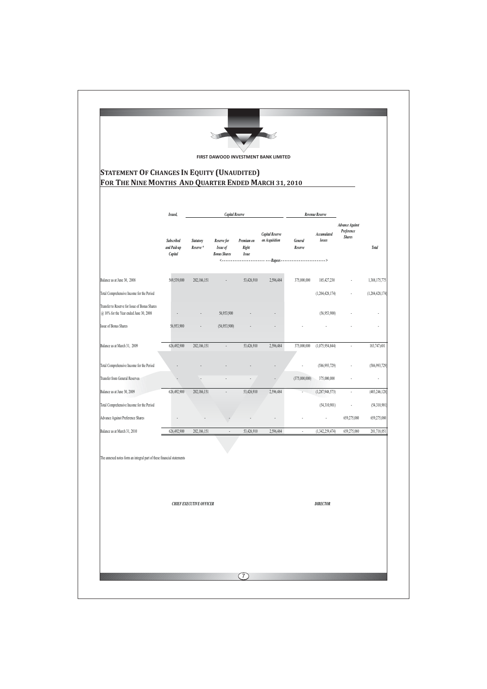| <b>STATEMENT OF CHANGES IN EQUITY (UNAUDITED)</b>                                       |                                      |                               |                                                               |                              | FIRST DAWOOD INVESTMENT BANK LIMITED               |                          |                              |                                                       |                    |
|-----------------------------------------------------------------------------------------|--------------------------------------|-------------------------------|---------------------------------------------------------------|------------------------------|----------------------------------------------------|--------------------------|------------------------------|-------------------------------------------------------|--------------------|
| FOR THE NINE MONTHS AND QUARTER ENDED MARCH 31, 2010                                    |                                      |                               |                                                               |                              |                                                    |                          |                              |                                                       |                    |
|                                                                                         | Issued,                              | <b>Capital Reserve</b>        |                                                               |                              | Revenue Reserve                                    |                          |                              |                                                       |                    |
|                                                                                         | Subscribed<br>and Paid-up<br>Capital | <b>Statutory</b><br>Reserve * | Reserve for<br>Issue of<br><b>Bonus Shares</b><br><---------- | Premium on<br>Right<br>Issue | <b>Capital Reserve</b><br>on Acquisition<br>Rupees | General<br>Reserve       | <b>Accumulated</b><br>losses | <b>Advance Against</b><br>Preference<br><b>Shares</b> | <b>Total</b>       |
| Balance as at June 30, 2008                                                             | 569,539,000                          | 202,186,151                   |                                                               | 53,426,910                   | 2,596,484                                          | 375,000,000              | 185,427,230                  |                                                       | 1,388,175,775      |
| Total Comprehensive Income for the Period                                               |                                      |                               |                                                               |                              |                                                    |                          | (1, 204, 428, 174)           |                                                       | (1, 204, 428, 174) |
| Transfer to Reserve for Issue of Bonus Shares<br>@ 10% for the Year ended June 30, 2008 |                                      |                               | 56,953,900                                                    |                              |                                                    |                          | (56,953,900)                 |                                                       |                    |
| <b>Issue of Bonus Shares</b>                                                            | 56,953,900                           |                               | (56,953,900)                                                  |                              |                                                    |                          |                              |                                                       |                    |
| Balance as at March 31, 2009                                                            | 626,492,900                          | 202,186,151                   | ä,                                                            | 53,426,910                   | 2,596,484                                          | 375,000,000              | (1,075,954,844)              | $\ddot{\phantom{a}}$                                  | 183,747,601        |
| Total Comprehensive Income for the Period                                               |                                      |                               |                                                               |                              |                                                    |                          | (586, 993, 729)              |                                                       | (586, 993, 729)    |
| Transfer from General Reserves                                                          |                                      |                               |                                                               |                              |                                                    | (375,000,000)            | 375,000,000                  |                                                       | L                  |
| Balance as at June 30, 2009                                                             | 626,492,900                          | 202,186,151                   |                                                               | 53,426,910                   | 2,596,484                                          |                          | (1, 287, 948, 573)           | $\ddot{\phantom{0}}$                                  | (403, 246, 128)    |
| Total Comprehensive Income for the Period                                               |                                      |                               |                                                               |                              |                                                    |                          | (54,310,901)                 | ÷                                                     | (54,310,901)       |
| Advance Against Preference Shares                                                       |                                      |                               |                                                               |                              |                                                    |                          |                              | 659,275,080                                           | 659,275,080        |
| Balance as at March 31, 2010                                                            | 626,492,900                          | 202,186,151                   |                                                               | 53,426,910                   | 2,596,484                                          | $\overline{\phantom{a}}$ | (1,342,259,474)              | 659,275,080                                           | 201,718,051        |
| The annexed notes form an integral part of these financial statements                   |                                      |                               |                                                               |                              |                                                    |                          |                              |                                                       |                    |
|                                                                                         | <b>CHIEF EXECUTIVE OFFICER</b>       |                               |                                                               |                              |                                                    |                          | <b>DIRECTOR</b>              |                                                       |                    |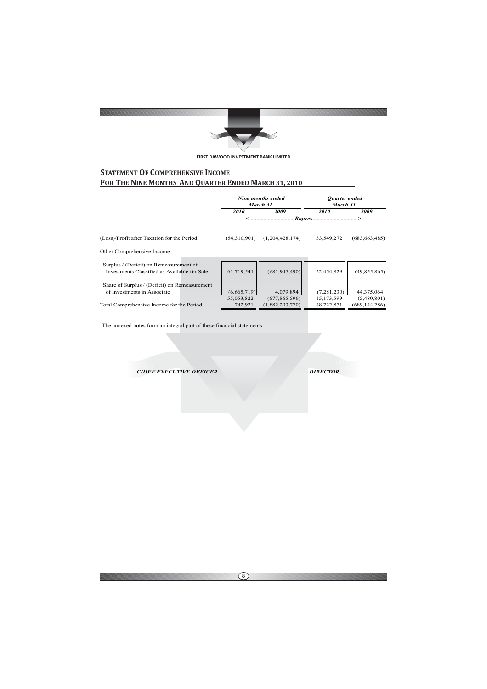| FIRST DAWOOD INVESTMENT BANK LIMITED<br><b>STATEMENT OF COMPREHENSIVE INCOME</b> | FOR THE NINE MONTHS AND QUARTER ENDED MARCH 31, 2010                                                                                                                                                                            |                                                                                                                                           |                                                                                                               |
|----------------------------------------------------------------------------------|---------------------------------------------------------------------------------------------------------------------------------------------------------------------------------------------------------------------------------|-------------------------------------------------------------------------------------------------------------------------------------------|---------------------------------------------------------------------------------------------------------------|
|                                                                                  |                                                                                                                                                                                                                                 |                                                                                                                                           |                                                                                                               |
|                                                                                  |                                                                                                                                                                                                                                 |                                                                                                                                           |                                                                                                               |
|                                                                                  |                                                                                                                                                                                                                                 |                                                                                                                                           |                                                                                                               |
| Nine months ended<br>Quarter ended<br>March 31<br>March 31                       |                                                                                                                                                                                                                                 |                                                                                                                                           |                                                                                                               |
| 2010                                                                             | 2009 — 2009 — 2009 — 2009 — 2009 — 2009 — 2009 — 2009 — 2009 — 2009 — 2009 — 2009 — 2009 — 2009 — 2009 — 2009 — 2009 — 2009 — 2009 — 2009 — 2009 — 2009 — 2009 — 2009 — 2009 — 2009 — 2009 — 2009 — 2009 — 2009 — 2009 — 2009 — | 2010                                                                                                                                      | 2009                                                                                                          |
|                                                                                  |                                                                                                                                                                                                                                 |                                                                                                                                           | (683, 663, 485)                                                                                               |
|                                                                                  |                                                                                                                                                                                                                                 |                                                                                                                                           |                                                                                                               |
|                                                                                  |                                                                                                                                                                                                                                 |                                                                                                                                           |                                                                                                               |
| 61,719,541                                                                       | (681, 945, 490)                                                                                                                                                                                                                 | 22,454,829                                                                                                                                | (49, 855, 865)                                                                                                |
|                                                                                  |                                                                                                                                                                                                                                 |                                                                                                                                           | 44,375,064                                                                                                    |
| 55,053,822                                                                       | (677, 865, 596)                                                                                                                                                                                                                 | 15,173,599                                                                                                                                | (5,480,801)<br>(689, 144, 286)                                                                                |
|                                                                                  |                                                                                                                                                                                                                                 |                                                                                                                                           |                                                                                                               |
|                                                                                  |                                                                                                                                                                                                                                 |                                                                                                                                           |                                                                                                               |
|                                                                                  |                                                                                                                                                                                                                                 |                                                                                                                                           |                                                                                                               |
|                                                                                  |                                                                                                                                                                                                                                 |                                                                                                                                           |                                                                                                               |
|                                                                                  |                                                                                                                                                                                                                                 |                                                                                                                                           |                                                                                                               |
|                                                                                  |                                                                                                                                                                                                                                 |                                                                                                                                           |                                                                                                               |
|                                                                                  |                                                                                                                                                                                                                                 |                                                                                                                                           |                                                                                                               |
|                                                                                  |                                                                                                                                                                                                                                 |                                                                                                                                           |                                                                                                               |
|                                                                                  |                                                                                                                                                                                                                                 |                                                                                                                                           |                                                                                                               |
|                                                                                  |                                                                                                                                                                                                                                 |                                                                                                                                           |                                                                                                               |
|                                                                                  |                                                                                                                                                                                                                                 |                                                                                                                                           |                                                                                                               |
|                                                                                  |                                                                                                                                                                                                                                 |                                                                                                                                           |                                                                                                               |
|                                                                                  |                                                                                                                                                                                                                                 |                                                                                                                                           |                                                                                                               |
|                                                                                  |                                                                                                                                                                                                                                 |                                                                                                                                           |                                                                                                               |
|                                                                                  |                                                                                                                                                                                                                                 |                                                                                                                                           |                                                                                                               |
|                                                                                  |                                                                                                                                                                                                                                 |                                                                                                                                           |                                                                                                               |
|                                                                                  |                                                                                                                                                                                                                                 |                                                                                                                                           |                                                                                                               |
|                                                                                  |                                                                                                                                                                                                                                 |                                                                                                                                           |                                                                                                               |
|                                                                                  |                                                                                                                                                                                                                                 |                                                                                                                                           |                                                                                                               |
|                                                                                  | (6,665,719)<br>742,921                                                                                                                                                                                                          | $(54,310,901)$ $(1,204,428,174)$<br>4,079,894<br>(1,882,293,770)<br>The annexed notes form an integral part of these financial statements | $\langle$ ------------- Rupees -------------><br>33,549,272<br>(7, 281, 230)<br>48,722,871<br><b>DIRECTOR</b> |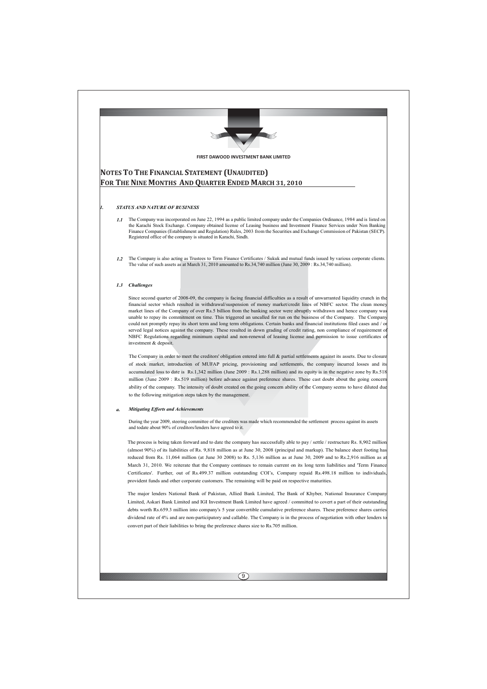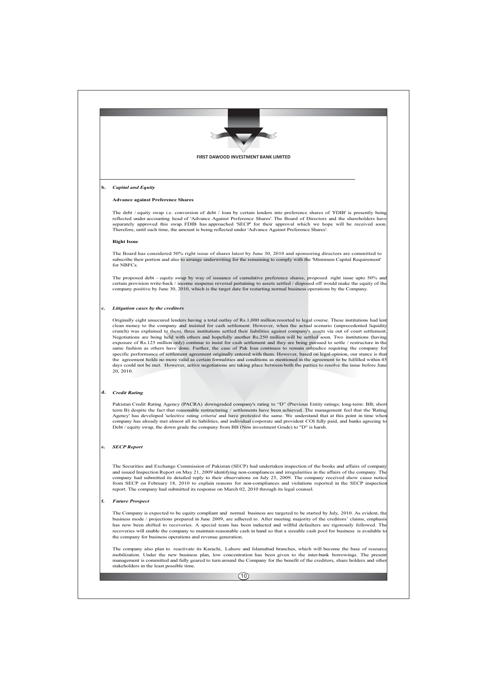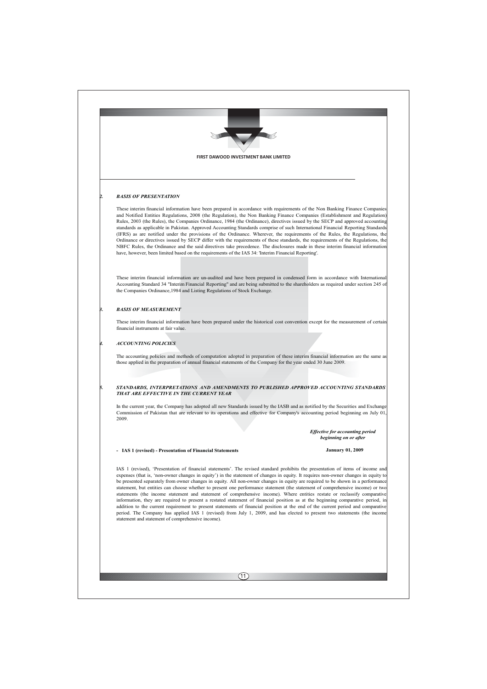| FIRST DAWOOD INVESTMENT BANK LIMITED<br><b>BASIS OF PRESENTATION</b><br>These interim financial information have been prepared in accordance with requirements of the Non Banking Finance Companies<br>and Notified Entities Regulations, 2008 (the Regulation), the Non Banking Finance Companies (Establishment and Regulation)<br>Rules, 2003 (the Rules), the Companies Ordinance, 1984 (the Ordinance), directives issued by the SECP and approved accounting<br>standards as applicable in Pakistan. Approved Accounting Standards comprise of such International Financial Reporting Standards<br>(IFRS) as are notified under the provisions of the Ordinance. Wherever, the requirements of the Rules, the Regulations, the<br>Ordinance or directives issued by SECP differ with the requirements of these standards, the requirements of the Regulations, the<br>NBFC Rules, the Ordinance and the said directives take precedence. The disclosures made in these interim financial information<br>have, however, been limited based on the requirements of the IAS 34: 'Interim Financial Reporting'.                |
|----------------------------------------------------------------------------------------------------------------------------------------------------------------------------------------------------------------------------------------------------------------------------------------------------------------------------------------------------------------------------------------------------------------------------------------------------------------------------------------------------------------------------------------------------------------------------------------------------------------------------------------------------------------------------------------------------------------------------------------------------------------------------------------------------------------------------------------------------------------------------------------------------------------------------------------------------------------------------------------------------------------------------------------------------------------------------------------------------------------------------------|
|                                                                                                                                                                                                                                                                                                                                                                                                                                                                                                                                                                                                                                                                                                                                                                                                                                                                                                                                                                                                                                                                                                                                  |
|                                                                                                                                                                                                                                                                                                                                                                                                                                                                                                                                                                                                                                                                                                                                                                                                                                                                                                                                                                                                                                                                                                                                  |
|                                                                                                                                                                                                                                                                                                                                                                                                                                                                                                                                                                                                                                                                                                                                                                                                                                                                                                                                                                                                                                                                                                                                  |
|                                                                                                                                                                                                                                                                                                                                                                                                                                                                                                                                                                                                                                                                                                                                                                                                                                                                                                                                                                                                                                                                                                                                  |
|                                                                                                                                                                                                                                                                                                                                                                                                                                                                                                                                                                                                                                                                                                                                                                                                                                                                                                                                                                                                                                                                                                                                  |
| These interim financial information are un-audited and have been prepared in condensed form in accordance with International<br>Accounting Standard 34 "Interim Financial Reporting" and are being submitted to the shareholders as required under section 245 of<br>the Companies Ordinance, 1984 and Listing Regulations of Stock Exchange.                                                                                                                                                                                                                                                                                                                                                                                                                                                                                                                                                                                                                                                                                                                                                                                    |
| <b>BASIS OF MEASUREMENT</b>                                                                                                                                                                                                                                                                                                                                                                                                                                                                                                                                                                                                                                                                                                                                                                                                                                                                                                                                                                                                                                                                                                      |
| These interim financial information have been prepared under the historical cost convention except for the measurement of certain<br>financial instruments at fair value.                                                                                                                                                                                                                                                                                                                                                                                                                                                                                                                                                                                                                                                                                                                                                                                                                                                                                                                                                        |
| <b>ACCOUNTING POLICIES</b>                                                                                                                                                                                                                                                                                                                                                                                                                                                                                                                                                                                                                                                                                                                                                                                                                                                                                                                                                                                                                                                                                                       |
| The accounting policies and methods of computation adopted in preparation of these interim financial information are the same as<br>those applied in the preparation of annual financial statements of the Company for the year ended 30 June 2009.                                                                                                                                                                                                                                                                                                                                                                                                                                                                                                                                                                                                                                                                                                                                                                                                                                                                              |
|                                                                                                                                                                                                                                                                                                                                                                                                                                                                                                                                                                                                                                                                                                                                                                                                                                                                                                                                                                                                                                                                                                                                  |
| STANDARDS, INTERPRETATIONS AND AMENDMENTS TO PUBLISHED APPROVED ACCOUNTING STANDARDS<br>THAT ARE EFFECTIVE IN THE CURRENT YEAR                                                                                                                                                                                                                                                                                                                                                                                                                                                                                                                                                                                                                                                                                                                                                                                                                                                                                                                                                                                                   |
| In the current year, the Company has adopted all new Standards issued by the IASB and as notified by the Securities and Exchange<br>Commission of Pakistan that are relevant to its operations and effective for Company's accounting period beginning on July 01,<br>2009.                                                                                                                                                                                                                                                                                                                                                                                                                                                                                                                                                                                                                                                                                                                                                                                                                                                      |
| <b>Effective for accounting period</b>                                                                                                                                                                                                                                                                                                                                                                                                                                                                                                                                                                                                                                                                                                                                                                                                                                                                                                                                                                                                                                                                                           |
| beginning on or after<br>- IAS 1 (revised) - Presentation of Financial Statements<br><b>January 01, 2009</b>                                                                                                                                                                                                                                                                                                                                                                                                                                                                                                                                                                                                                                                                                                                                                                                                                                                                                                                                                                                                                     |
|                                                                                                                                                                                                                                                                                                                                                                                                                                                                                                                                                                                                                                                                                                                                                                                                                                                                                                                                                                                                                                                                                                                                  |
| IAS 1 (revised), 'Presentation of financial statements'. The revised standard prohibits the presentation of items of income and<br>expenses (that is, 'non-owner changes in equity') in the statement of changes in equity. It requires non-owner changes in equity to<br>be presented separately from owner changes in equity. All non-owner changes in equity are required to be shown in a performance<br>statement, but entities can choose whether to present one performance statement (the statement of comprehensive income) or two<br>statements (the income statement and statement of comprehensive income). Where entities restate or reclassify comparative<br>information, they are required to present a restated statement of financial position as at the beginning comparative period, in<br>addition to the current requirement to present statements of financial position at the end of the current period and comparative<br>period. The Company has applied IAS 1 (revised) from July 1, 2009, and has elected to present two statements (the income<br>statement and statement of comprehensive income). |
|                                                                                                                                                                                                                                                                                                                                                                                                                                                                                                                                                                                                                                                                                                                                                                                                                                                                                                                                                                                                                                                                                                                                  |
|                                                                                                                                                                                                                                                                                                                                                                                                                                                                                                                                                                                                                                                                                                                                                                                                                                                                                                                                                                                                                                                                                                                                  |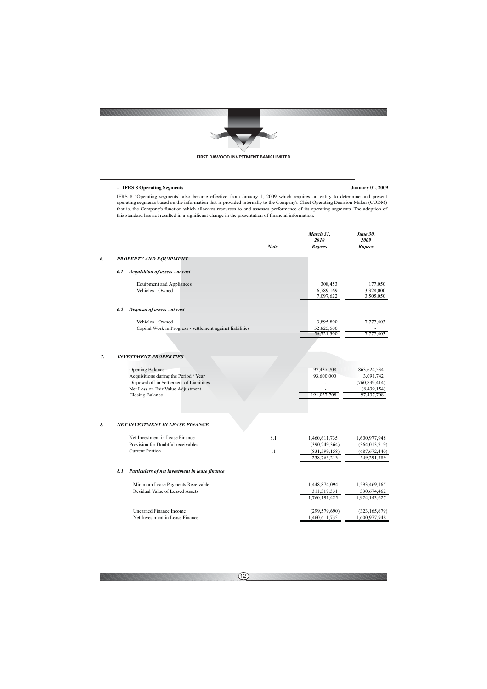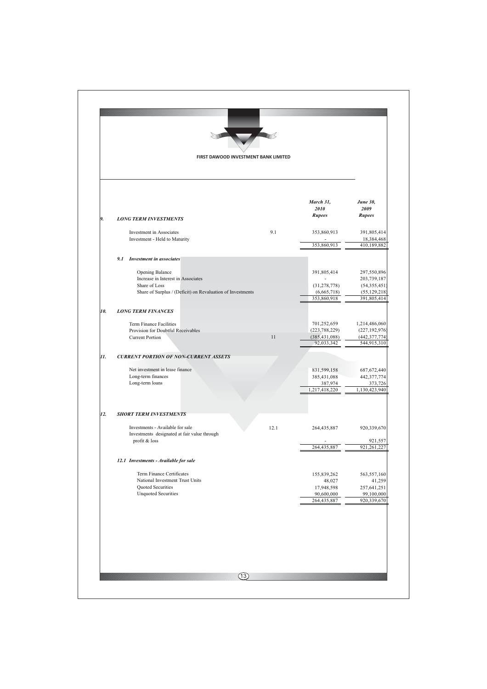|     |                                                                             | FIRST DAWOOD INVESTMENT BANK LIMITED |                               |                                   |
|-----|-----------------------------------------------------------------------------|--------------------------------------|-------------------------------|-----------------------------------|
|     |                                                                             |                                      |                               |                                   |
|     |                                                                             |                                      | March 31,<br>2010<br>Rupees   | <b>June 30,</b><br>2009<br>Rupees |
| 9.  | <b>LONG TERM INVESTMENTS</b>                                                |                                      |                               |                                   |
|     | Investment in Associates<br>Investment - Held to Maturity                   | 9.1                                  | 353,860,913                   | 391,805,414<br>18,384,468         |
|     |                                                                             |                                      | 353,860,913                   | 410,189,882                       |
|     | 9.1 Investment in associates                                                |                                      |                               |                                   |
|     | Opening Balance                                                             |                                      | 391,805,414                   | 297,550,896                       |
|     | Increase in Interest in Associates                                          |                                      |                               | 203,739,187                       |
|     | Share of Loss<br>Share of Surplus / (Deficit) on Revaluation of Investments |                                      | (31, 278, 778)<br>(6,665,718) | (54, 355, 451)<br>(55, 129, 218)  |
|     |                                                                             |                                      | 353,860,918                   | 391,805,414                       |
| 10. | <b>LONG TERM FINANCES</b>                                                   |                                      |                               |                                   |
|     | Term Finance Facilities                                                     |                                      | 701,252,659                   | 1,214,486,060                     |
|     | Provision for Doubtful Receivables                                          |                                      | (223, 788, 229)               | (227, 192, 976)                   |
|     | <b>Current Portion</b>                                                      | 11                                   | (385, 431, 088)<br>92,033,342 | (442, 377, 774)<br>544,915,310    |
| 11. | <b>CURRENT PORTION OF NON-CURRENT ASSETS</b>                                |                                      |                               |                                   |
|     |                                                                             |                                      |                               |                                   |
|     | Net investment in lease finance<br>Long-term finances                       |                                      | 831,599,158<br>385,431,088    | 687, 672, 440<br>442,377,774      |
|     | Long-term loans                                                             |                                      | 387,974                       | 373,726                           |
|     |                                                                             |                                      | 1,217,418,220                 | 1,130,423,940                     |
| 12. | <b>SHORT TERM INVESTMENTS</b>                                               |                                      |                               |                                   |
|     | Investments - Available for sale                                            | 12.1                                 | 264,435,887                   | 920,339,670                       |
|     | Investments designated at fair value through<br>profit & loss               |                                      |                               | 921,557                           |
|     |                                                                             |                                      | 264,435,887                   | 921,261,227                       |
|     | 12.1 Investments - Available for sale                                       |                                      |                               |                                   |
|     | Term Finance Certificates                                                   |                                      | 155,839,262                   | 563,557,160                       |
|     | National Investment Trust Units                                             |                                      | 48,027                        | 41,259                            |
|     | Quoted Securities<br><b>Unquoted Securities</b>                             |                                      | 17,948,598<br>90,600,000      | 257,641,251<br>99,100,000         |
|     |                                                                             |                                      | 264,435,887                   | 920,339,670                       |
|     |                                                                             |                                      |                               |                                   |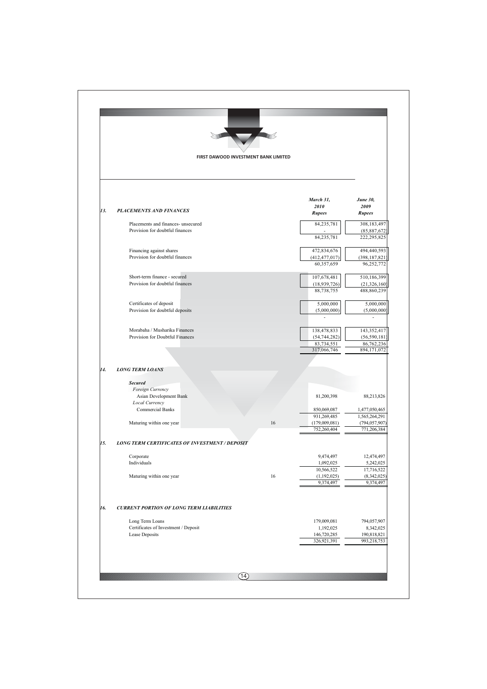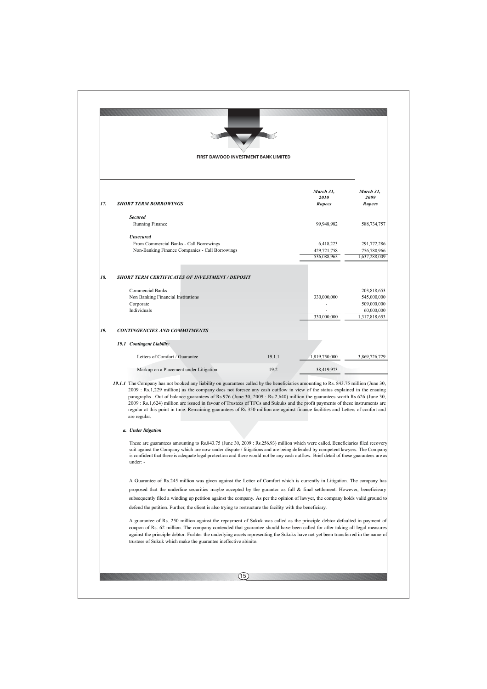|     |                                                                                                                                                                                                                                                                                                                                                                                                                                                                                                                                                                                                                                                                                  | FIRST DAWOOD INVESTMENT BANK LIMITED |                                         |                                             |
|-----|----------------------------------------------------------------------------------------------------------------------------------------------------------------------------------------------------------------------------------------------------------------------------------------------------------------------------------------------------------------------------------------------------------------------------------------------------------------------------------------------------------------------------------------------------------------------------------------------------------------------------------------------------------------------------------|--------------------------------------|-----------------------------------------|---------------------------------------------|
|     |                                                                                                                                                                                                                                                                                                                                                                                                                                                                                                                                                                                                                                                                                  |                                      |                                         |                                             |
| 17. | <b>SHORT TERM BORROWINGS</b>                                                                                                                                                                                                                                                                                                                                                                                                                                                                                                                                                                                                                                                     |                                      | March 31,<br>2010<br><b>Rupees</b>      | March 31,<br>2009<br><b>Rupees</b>          |
|     | <b>Secured</b><br>Running Finance                                                                                                                                                                                                                                                                                                                                                                                                                                                                                                                                                                                                                                                |                                      | 99,948,982                              | 588,734,757                                 |
|     | <b>Unsecured</b>                                                                                                                                                                                                                                                                                                                                                                                                                                                                                                                                                                                                                                                                 |                                      |                                         |                                             |
|     | From Commercial Banks - Call Borrowings<br>Non-Banking Finance Companies - Call Borrowings                                                                                                                                                                                                                                                                                                                                                                                                                                                                                                                                                                                       |                                      | 6,418,223<br>429,721,758<br>536,088,963 | 291,772,286<br>756,780,966<br>1,637,288,009 |
| 18. | <b>SHORT TERM CERTIFICATES OF INVESTMENT / DEPOSIT</b>                                                                                                                                                                                                                                                                                                                                                                                                                                                                                                                                                                                                                           |                                      |                                         |                                             |
|     | <b>Commercial Banks</b>                                                                                                                                                                                                                                                                                                                                                                                                                                                                                                                                                                                                                                                          |                                      |                                         | 203,818,653                                 |
|     | Non Banking Financial Institutions                                                                                                                                                                                                                                                                                                                                                                                                                                                                                                                                                                                                                                               |                                      | 330,000,000                             | 545,000,000                                 |
|     | Corporate<br>Individuals                                                                                                                                                                                                                                                                                                                                                                                                                                                                                                                                                                                                                                                         |                                      |                                         | 509,000,000                                 |
|     |                                                                                                                                                                                                                                                                                                                                                                                                                                                                                                                                                                                                                                                                                  |                                      | 330,000,000                             | 60,000,000<br>1,317,818,653                 |
| 19. | <b>CONTINGENCIES AND COMMITMENTS</b>                                                                                                                                                                                                                                                                                                                                                                                                                                                                                                                                                                                                                                             |                                      |                                         |                                             |
|     | 19.1 Contingent Liability                                                                                                                                                                                                                                                                                                                                                                                                                                                                                                                                                                                                                                                        |                                      |                                         |                                             |
|     | Letters of Comfort / Guarantee                                                                                                                                                                                                                                                                                                                                                                                                                                                                                                                                                                                                                                                   | 19.1.1                               | 1,819,750,000                           | 3,869,726,729                               |
|     | Markup on a Placement under Litigation                                                                                                                                                                                                                                                                                                                                                                                                                                                                                                                                                                                                                                           | 19.2                                 | 38,419,973                              |                                             |
|     | 19.1.1 The Company has not booked any liability on guarantees called by the beneficiaries amounting to Rs. 843.75 million (June 30,<br>2009 : Rs.1,229 million) as the company does not foresee any cash outflow in view of the status explained in the ensuing<br>paragraphs . Out of balance guarantees of Rs.976 (June 30, 2009 : Rs.2,640) million the guarantees worth Rs.626 (June 30,<br>2009 : Rs.1,624) million are issued in favour of Trustees of TFCs and Sukuks and the profit payments of these instruments are<br>regular at this point in time. Remaining guarantees of Rs.350 million are against finance facilities and Letters of confort and<br>are regular. |                                      |                                         |                                             |
|     | a. Under litigation                                                                                                                                                                                                                                                                                                                                                                                                                                                                                                                                                                                                                                                              |                                      |                                         |                                             |
|     | These are guarantees amounting to Rs.843.75 (June 30, 2009 : Rs.256.93) million which were called. Beneficiaries filed recovery<br>suit against the Company which are now under dispute / litigations and are being defended by competent lawyers. The Company<br>is confident that there is adequate legal protection and there would not be any cash outflow. Brief detail of these guarantees are as<br>under: -                                                                                                                                                                                                                                                              |                                      |                                         |                                             |
|     | A Guarantee of Rs.245 million was given against the Letter of Comfort which is currently in Litigation. The company has<br>proposed that the underline securities maybe accepted by the gurantor as full & final settlement. However, beneficieary                                                                                                                                                                                                                                                                                                                                                                                                                               |                                      |                                         |                                             |
|     | subsequently filed a winding up petition against the company. As per the opinion of lawyer, the company holds valid ground to<br>defend the petition. Further, the client is also trying to restructure the facility with the beneficiary.                                                                                                                                                                                                                                                                                                                                                                                                                                       |                                      |                                         |                                             |
|     | A guarantee of Rs. 250 million against the repayment of Sukuk was called as the principle debtor defaulted in payment of<br>coupon of Rs. 62 million. The company contended that guarantee should have been called for after taking all legal measures<br>against the principle debtor. Further the underlying assets representing the Sukuks have not yet been transferred in the name of<br>trustees of Sukuk which make the guarantee ineffective abinito.                                                                                                                                                                                                                    |                                      |                                         |                                             |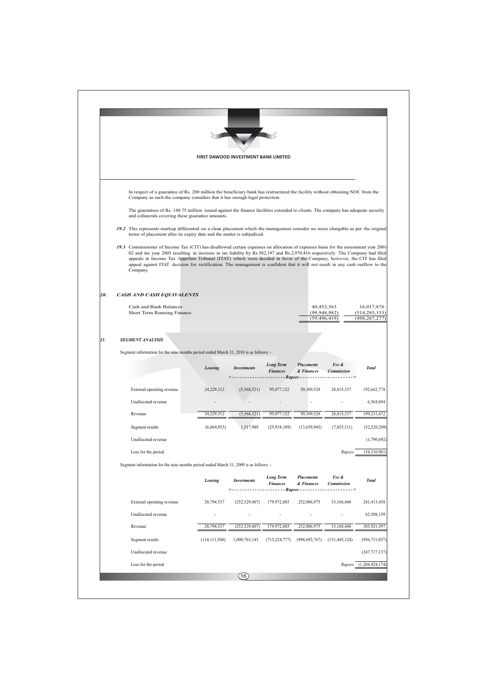|     |                                                                                                                                                                                                                                                                                                                                                                                                                                                                                                                                              |                 | FIRST DAWOOD INVESTMENT BANK LIMITED |                                                         |                                                                   |                                         |                               |  |  |  |  |  |
|-----|----------------------------------------------------------------------------------------------------------------------------------------------------------------------------------------------------------------------------------------------------------------------------------------------------------------------------------------------------------------------------------------------------------------------------------------------------------------------------------------------------------------------------------------------|-----------------|--------------------------------------|---------------------------------------------------------|-------------------------------------------------------------------|-----------------------------------------|-------------------------------|--|--|--|--|--|
|     |                                                                                                                                                                                                                                                                                                                                                                                                                                                                                                                                              |                 |                                      |                                                         |                                                                   |                                         |                               |  |  |  |  |  |
|     |                                                                                                                                                                                                                                                                                                                                                                                                                                                                                                                                              |                 |                                      |                                                         |                                                                   |                                         |                               |  |  |  |  |  |
|     | In respect of a guarantee of Rs. 200 million the beneficiary bank has restructured the facility without obtaining NOC from the<br>Company as such the company considers that it has enough legal protection.                                                                                                                                                                                                                                                                                                                                 |                 |                                      |                                                         |                                                                   |                                         |                               |  |  |  |  |  |
|     | The guarantees of Rs. 148.75 million issued against the finance facilities extended to clients. The company has adequate security<br>and collaterals covering these guarantee amounts.                                                                                                                                                                                                                                                                                                                                                       |                 |                                      |                                                         |                                                                   |                                         |                               |  |  |  |  |  |
|     | 19.2 This represents markup differential on a clean placement which the management consider no more chargable as per the original<br>terms of placement after its expiry date and the matter is subjudiced.                                                                                                                                                                                                                                                                                                                                  |                 |                                      |                                                         |                                                                   |                                         |                               |  |  |  |  |  |
|     | 19.3 Commissioner of Income Tax (CIT) has disallowed certain expenses on allocation of expenses basis for the assessment year 2001<br>02 and tax year 2003 resulting in increase in tax liability by Rs.582,197 and Rs.2,970,416 respectively. The Company had filed<br>appeals in Income Tax Appellate Tribunal (ITAT) which were decided in favor of the Company, however, the CIT has filed<br>appeal against ITAT decision for rectification. The management is confident that it will not result in any cash outflow to the<br>Company. |                 |                                      |                                                         |                                                                   |                                         |                               |  |  |  |  |  |
| 20. | CASH AND CASH EQUIVALENTS                                                                                                                                                                                                                                                                                                                                                                                                                                                                                                                    |                 |                                      |                                                         |                                                                   |                                         |                               |  |  |  |  |  |
|     | Cash and Bank Balances<br>Short Term Running Finance                                                                                                                                                                                                                                                                                                                                                                                                                                                                                         |                 |                                      |                                                         | 40,452,563                                                        | (99, 948, 982)                          | 16,017,876<br>(514, 285, 153) |  |  |  |  |  |
|     |                                                                                                                                                                                                                                                                                                                                                                                                                                                                                                                                              |                 |                                      |                                                         | (59, 496, 419)                                                    |                                         | (498, 267, 277)               |  |  |  |  |  |
|     |                                                                                                                                                                                                                                                                                                                                                                                                                                                                                                                                              |                 |                                      |                                                         |                                                                   |                                         |                               |  |  |  |  |  |
| 21. | <b>SEGMENT ANALYSIS</b>                                                                                                                                                                                                                                                                                                                                                                                                                                                                                                                      |                 |                                      |                                                         |                                                                   |                                         |                               |  |  |  |  |  |
|     | Segment information for the nine months period ended March 31, 2010 is as follows: -                                                                                                                                                                                                                                                                                                                                                                                                                                                         |                 |                                      |                                                         |                                                                   |                                         |                               |  |  |  |  |  |
|     |                                                                                                                                                                                                                                                                                                                                                                                                                                                                                                                                              | Leasing         | <b>Investments</b>                   | <b>Long Term</b><br><b>Finances</b>                     | <b>Placements</b><br>& Finances<br>- - - - - Rupees - - - - - - - | Fee &<br><b>Commission</b><br>--------- | <b>Total</b>                  |  |  |  |  |  |
|     | External operating revenue                                                                                                                                                                                                                                                                                                                                                                                                                                                                                                                   | 24,229,312      | (5,568,521)                          | 95,077,122                                              | 50,109,528                                                        | 28,815,337                              | 192,662,778                   |  |  |  |  |  |
|     | Unallocated revenue                                                                                                                                                                                                                                                                                                                                                                                                                                                                                                                          |                 |                                      |                                                         |                                                                   |                                         | 6,568,894                     |  |  |  |  |  |
|     | Revenue                                                                                                                                                                                                                                                                                                                                                                                                                                                                                                                                      | 24,229,312      | (5,568,521)                          | 95,077,122                                              | 50,109,528                                                        | 28,815,337                              | 199,231,672                   |  |  |  |  |  |
|     | Segment results                                                                                                                                                                                                                                                                                                                                                                                                                                                                                                                              | (6,604,953)     | 1,517,989                            | (25,918,189)                                            | (13,659,945)                                                      | (7,855,111)                             | (52, 520, 209)                |  |  |  |  |  |
|     | Unallocated revenue                                                                                                                                                                                                                                                                                                                                                                                                                                                                                                                          |                 |                                      |                                                         |                                                                   |                                         | (1,790,692)                   |  |  |  |  |  |
|     | Loss for the period                                                                                                                                                                                                                                                                                                                                                                                                                                                                                                                          |                 |                                      |                                                         |                                                                   | Rupees                                  | (54,310,901)                  |  |  |  |  |  |
|     | Segment information for the nine months period ended March 31, 2009 is as follows: -                                                                                                                                                                                                                                                                                                                                                                                                                                                         |                 |                                      |                                                         |                                                                   |                                         |                               |  |  |  |  |  |
|     |                                                                                                                                                                                                                                                                                                                                                                                                                                                                                                                                              | Leasing         | <b>Investments</b><br><---------     | <b>Long Term</b><br><b>Finances</b><br>$--- Runees ---$ | <b>Placements</b><br>& Finances                                   | Fee &<br><b>Commission</b><br>>         | <b>Total</b>                  |  |  |  |  |  |
|     | External operating revenue                                                                                                                                                                                                                                                                                                                                                                                                                                                                                                                   | 28,794,537      | (252, 529, 407)                      | 179,972,885                                             | 252,006,975                                                       | 33,168,448                              | 241,413,438                   |  |  |  |  |  |
|     | Unallocated revenue                                                                                                                                                                                                                                                                                                                                                                                                                                                                                                                          |                 |                                      |                                                         |                                                                   |                                         | 62,508,159                    |  |  |  |  |  |
|     | Revenue                                                                                                                                                                                                                                                                                                                                                                                                                                                                                                                                      | 28,794,537      | (252, 529, 407)                      | 179,972,885                                             | 252,006,975                                                       | 33,168,448                              | 303,921,597                   |  |  |  |  |  |
|     | Segment results                                                                                                                                                                                                                                                                                                                                                                                                                                                                                                                              | (114, 111, 508) | 1,000,763,143                        | (713, 224, 777)                                         | (998, 692, 767)                                                   | (131, 445, 128)                         | (956, 711, 037)               |  |  |  |  |  |
|     |                                                                                                                                                                                                                                                                                                                                                                                                                                                                                                                                              |                 |                                      |                                                         |                                                                   |                                         |                               |  |  |  |  |  |
|     | Unallocated revenue                                                                                                                                                                                                                                                                                                                                                                                                                                                                                                                          |                 |                                      |                                                         |                                                                   |                                         | (247, 717, 137)               |  |  |  |  |  |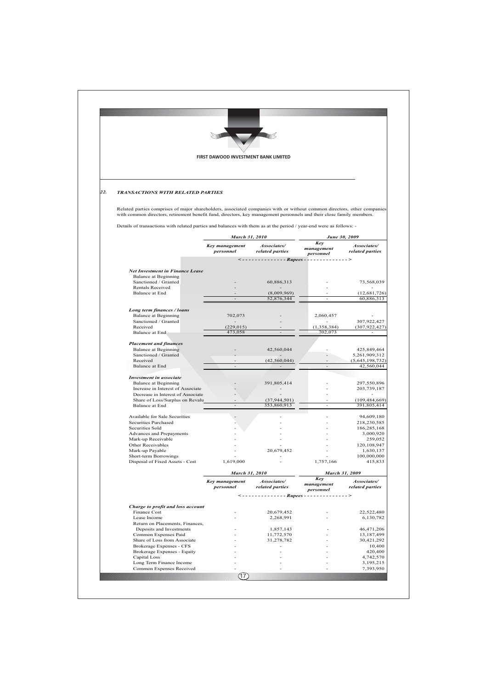|     |                                                                                                                                                                                                                                                                                      | FIRST DAWOOD INVESTMENT BANK LIMITED |                                        |                                |                                |  |
|-----|--------------------------------------------------------------------------------------------------------------------------------------------------------------------------------------------------------------------------------------------------------------------------------------|--------------------------------------|----------------------------------------|--------------------------------|--------------------------------|--|
|     |                                                                                                                                                                                                                                                                                      |                                      |                                        |                                |                                |  |
| 22. | TRANSACTIONS WITH RELATED PARTIES<br>Related parties comprises of major shareholders, associated companies with or without common directors, other companies<br>with common directors, retirement benefit fund, directors, key management personnels and their close family members. |                                      |                                        |                                |                                |  |
|     |                                                                                                                                                                                                                                                                                      |                                      |                                        |                                |                                |  |
|     |                                                                                                                                                                                                                                                                                      |                                      | March 31, 2010                         |                                | June 30, 2009                  |  |
|     |                                                                                                                                                                                                                                                                                      | <b>Key management</b><br>personnel   | Associates/<br>related parties         | Key<br>management<br>personnel | Associates/<br>related parties |  |
|     | <-------------- Rupees - -------------->                                                                                                                                                                                                                                             |                                      |                                        |                                |                                |  |
|     | <b>Net Investment in Finance Lease</b><br><b>Balance at Beginning</b>                                                                                                                                                                                                                |                                      |                                        |                                |                                |  |
|     | Sanctioned / Granted                                                                                                                                                                                                                                                                 |                                      | 60,886,313                             |                                | 73,568,039                     |  |
|     | Rentals Received<br>Balance at End                                                                                                                                                                                                                                                   |                                      | (8,009,969)                            |                                | (12, 681, 726)                 |  |
|     |                                                                                                                                                                                                                                                                                      |                                      | 52,876,344                             |                                | 60,886,313                     |  |
|     | Long term finances / loans<br><b>Balance at Beginning</b>                                                                                                                                                                                                                            | 702,073                              |                                        | 2,060,457                      |                                |  |
|     | Sanctioned / Granted<br>Received                                                                                                                                                                                                                                                     | (229, 015)                           |                                        | (1, 358, 384)                  | 307,922,427<br>(307, 922, 427) |  |
|     | Balance at End                                                                                                                                                                                                                                                                       | 473,058                              |                                        | 702,073                        |                                |  |
|     | <b>Placement and finances</b>                                                                                                                                                                                                                                                        |                                      |                                        |                                |                                |  |
|     | <b>Balance at Beginning</b><br>Sanctioned / Granted                                                                                                                                                                                                                                  |                                      | 42,560,044                             |                                | 425,849,464<br>5,261,909,312   |  |
|     | Received<br><b>Balance</b> at End                                                                                                                                                                                                                                                    |                                      | (42, 560, 044)                         |                                | (5,645,198,732)<br>42,560,044  |  |
|     | <b>Investment in associate</b>                                                                                                                                                                                                                                                       |                                      |                                        |                                |                                |  |
|     | <b>Balance at Beginning</b>                                                                                                                                                                                                                                                          |                                      | 391,805,414                            |                                | 297,550,896                    |  |
|     | Increase in Interest of Associate<br>Decrease in Interest of Associate                                                                                                                                                                                                               |                                      |                                        |                                | 203,739,187                    |  |
|     | Share of Loss/Surplus on Revalu<br>Balance at End                                                                                                                                                                                                                                    |                                      | (37, 944, 501)<br>353,860,913          |                                | (109, 484, 669)<br>391,805,414 |  |
|     | Available for Sale Securities                                                                                                                                                                                                                                                        |                                      |                                        |                                | 94,609,180                     |  |
|     | Securities Purchased                                                                                                                                                                                                                                                                 |                                      |                                        |                                | 218,230,585                    |  |
|     | Securities Sold<br>Advances and Prepayments                                                                                                                                                                                                                                          |                                      |                                        |                                | 186,285,168<br>3,000,920       |  |
|     | Mark-up Receivable<br>Other Receivables                                                                                                                                                                                                                                              |                                      |                                        |                                | 259,052<br>120,108,947         |  |
|     | Mark-up Payable                                                                                                                                                                                                                                                                      |                                      | 20,679,452                             |                                | 1,630,137                      |  |
|     | Short-term Borrowings<br>Disposal of Fixed Assets - Cost                                                                                                                                                                                                                             | 1,619,000                            |                                        | 1,757,166                      | 100,000,000<br>415,833         |  |
|     |                                                                                                                                                                                                                                                                                      | March 31, 2010                       |                                        | March 31, 2009                 |                                |  |
|     |                                                                                                                                                                                                                                                                                      | <b>Key management</b><br>personnel   | Associates/<br>related parties         | Key<br>management<br>personnel | Associates/<br>related parties |  |
|     |                                                                                                                                                                                                                                                                                      |                                      | <-------------- Rupees --------------> |                                |                                |  |
|     | Charge to profit and loss account                                                                                                                                                                                                                                                    |                                      |                                        |                                |                                |  |
|     | Finance Cost<br>Lease Income                                                                                                                                                                                                                                                         |                                      | 20,679,452<br>2,268,991                |                                | 22,522,480<br>6,130,782        |  |
|     | Return on Placements, Finances,<br>Deposits and Investments                                                                                                                                                                                                                          |                                      | 1,857,143                              |                                | 46,471,206                     |  |
|     | Common Expenses Paid                                                                                                                                                                                                                                                                 |                                      | 11,772,570                             |                                | 13,187,499                     |  |
|     | Share of Loss from Associate<br>Brokerage Expenses - CFS                                                                                                                                                                                                                             |                                      | 31,278,782                             |                                | 30,421,292<br>10,400           |  |
|     | <b>Brokerage Expenses - Equity</b>                                                                                                                                                                                                                                                   |                                      |                                        |                                | 420,400                        |  |
|     | Capital Loss<br>Long Term Finance Income                                                                                                                                                                                                                                             |                                      |                                        |                                | 4,742,570<br>3,195,215         |  |
|     | Common Expenses Received                                                                                                                                                                                                                                                             |                                      |                                        |                                | 7,393,950                      |  |